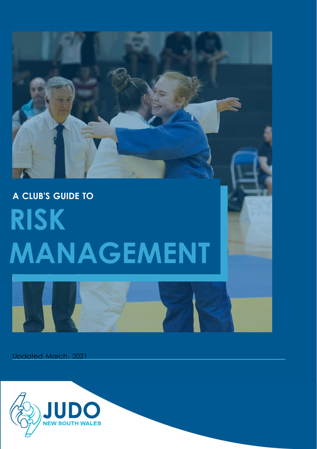# **A CLUB'S GUIDE TO RISK MANAGEMENT**



Updated March, 2021

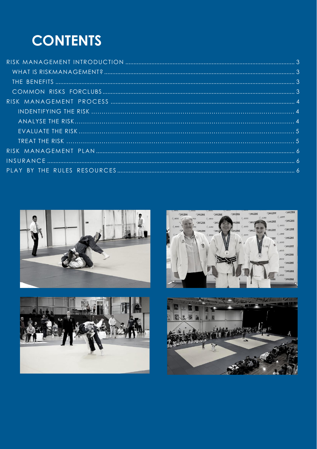## **CONTENTS**







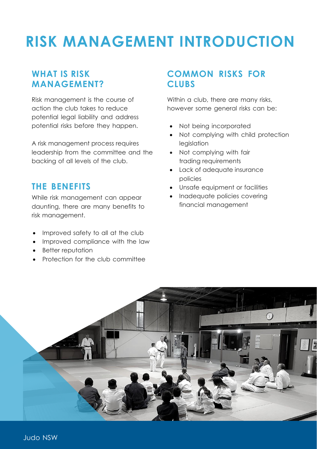## <span id="page-2-0"></span>**RISK MANAGEMENT INTRODUCTION**

#### <span id="page-2-1"></span>**WHAT IS RISK MANAGEMENT?**

Risk management is the course of action the club takes to reduce potential legal liability and address potential risks before they happen.

A risk management process requires leadership from the committee and the backing of all levels of the club.

#### <span id="page-2-2"></span>**THE BENEFITS**

While risk management can appear daunting, there are many benefits to risk management.

- Improved safety to all at the club
- Improved compliance with the law
- Better reputation
- Protection for the club committee

#### <span id="page-2-3"></span>**COMMON RISKS FOR CLUBS**

Within a club, there are many risks, however some general risks can be:

- Not being incorporated
- Not complying with child protection legislation
- Not complying with fair trading requirements
- Lack of adequate insurance policies
- Unsafe equipment or facilities
- Inadequate policies covering financial management

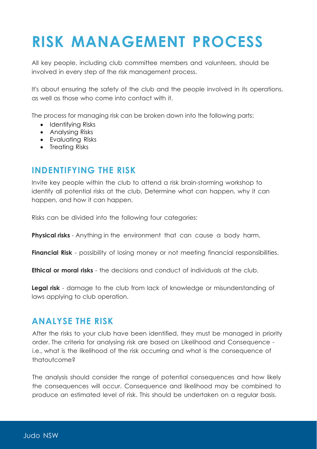# <span id="page-3-0"></span>**RISK MANAGEMENT PROCESS**

All key people, including club committee members and volunteers, should be involved in every step of the risk management process.

It's about ensuring the safety of the club and the people involved in its operations, as well as those who come into contact with it.

The process for managing risk can be broken down into the following parts:

- Identifying Risks
- Analysing Risks
- Evaluating Risks
- Treating Risks

#### <span id="page-3-1"></span>**INDENTIFYING THE RISK**

Invite key people within the club to attend a risk brain-storming workshop to identify all potential risks at the club. Determine what can happen, why it can happen, and how it can happen.

Risks can be divided into the following four categories:

**Physical risks** - Anything in the environment that can cause a body harm.

**Financial Risk** - possibility of losing money or not meeting financial responsibilities.

**Ethical or moral risks** - the decisions and conduct of individuals at the club.

**Legal risk** - damage to the club from lack of knowledge or misunderstanding of laws applying to club operation.

#### <span id="page-3-2"></span>**ANALYSE THE RISK**

After the risks to your club have been identified, they must be managed in priority order. The criteria for analysing risk are based on Likelihood and Consequence i.e., what is the likelihood of the risk occurring and what is the consequence of thatoutcome?

The analysis should consider the range of potential consequences and how likely the consequences will occur. Consequence and likelihood may be combined to produce an estimated level of risk. This should be undertaken on a regular basis.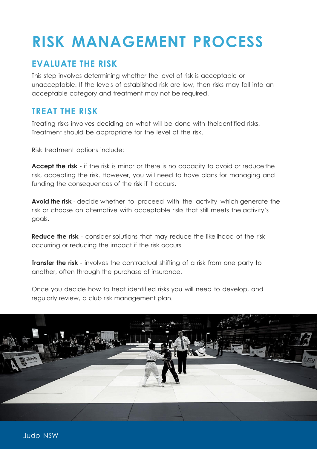# **RISK MANAGEMENT PROCESS**

#### <span id="page-4-0"></span>**EVALUATE THE RISK**

This step involves determining whether the level of risk is acceptable or unacceptable. If the levels of established risk are low, then risks may fall into an acceptable category and treatment may not be required.

#### <span id="page-4-1"></span>**TREAT THE RISK**

Treating risks involves deciding on what will be done with theidentified risks. Treatment should be appropriate for the level of the risk.

Risk treatment options include:

**Accept the risk** - if the risk is minor or there is no capacity to avoid or reduce the risk, accepting the risk. However, you will need to have plans for managing and funding the consequences of the risk if it occurs.

**Avoid the risk** - decide whether to proceed with the activity which generate the risk or choose an alternative with acceptable risks that still meets the activity's goals.

**Reduce the risk** - consider solutions that may reduce the likelihood of the risk occurring or reducing the impact if the risk occurs.

**Transfer the risk** - involves the contractual shifting of a risk from one party to another, often through the purchase of insurance.

Once you decide how to treat identified risks you will need to develop, and regularly review, a club risk [management](https://www.business.qld.gov.au/starting-business/protect-business/managing-risk/develop-risk-plan) plan.